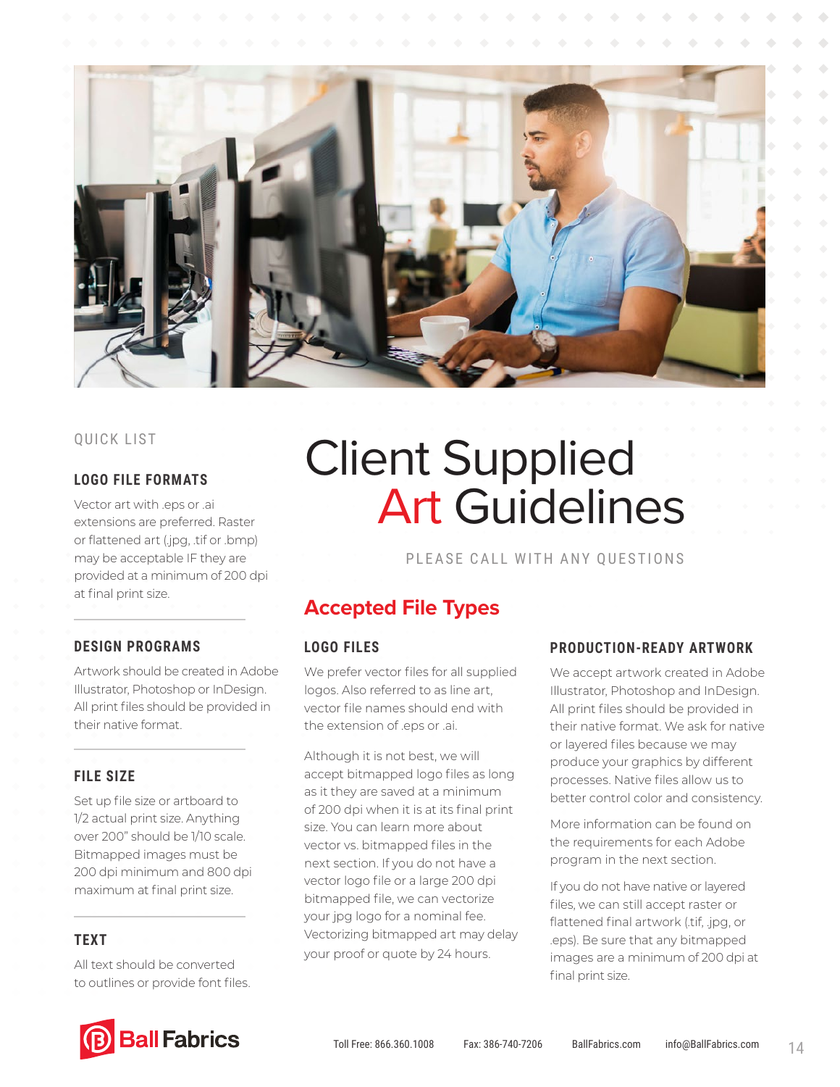

#### **LOGO FILE FORMATS**

Vector art with .eps or .ai extensions are preferred. Raster or flattened art (.jpg, .tif or .bmp) may be acceptable IF they are provided at a minimum of 200 dpi at final print size.

#### **DESIGN PROGRAMS**

Artwork should be created in Adobe Illustrator, Photoshop or InDesign. All print files should be provided in their native format.

#### **FILE SIZE**

Set up file size or artboard to 1/2 actual print size. Anything over 200" should be 1/10 scale. Bitmapped images must be 200 dpi minimum and 800 dpi maximum at final print size.

#### **TEXT**

All text should be converted to outlines or provide font files.

# **QUICK LIST Client Supplied** Art Guidelines

#### PLEASE CALL WITH ANY QUESTIONS

# **Accepted File Types**

#### **LOGO FILES**

We prefer vector files for all supplied logos. Also referred to as line art, vector file names should end with the extension of .eps or .ai.

Although it is not best, we will accept bitmapped logo files as long as it they are saved at a minimum of 200 dpi when it is at its final print size. You can learn more about vector vs. bitmapped files in the next section. If you do not have a vector logo file or a large 200 dpi bitmapped file, we can vectorize your jpg logo for a nominal fee. Vectorizing bitmapped art may delay your proof or quote by 24 hours.

#### **PRODUCTION-READY ARTWORK**

We accept artwork created in Adobe Illustrator, Photoshop and InDesign. All print files should be provided in their native format. We ask for native or layered files because we may produce your graphics by different processes. Native files allow us to better control color and consistency.

More information can be found on the requirements for each Adobe program in the next section.

If you do not have native or layered files, we can still accept raster or flattened final artwork (.tif, .jpg, or .eps). Be sure that any bitmapped images are a minimum of 200 dpi at final print size.

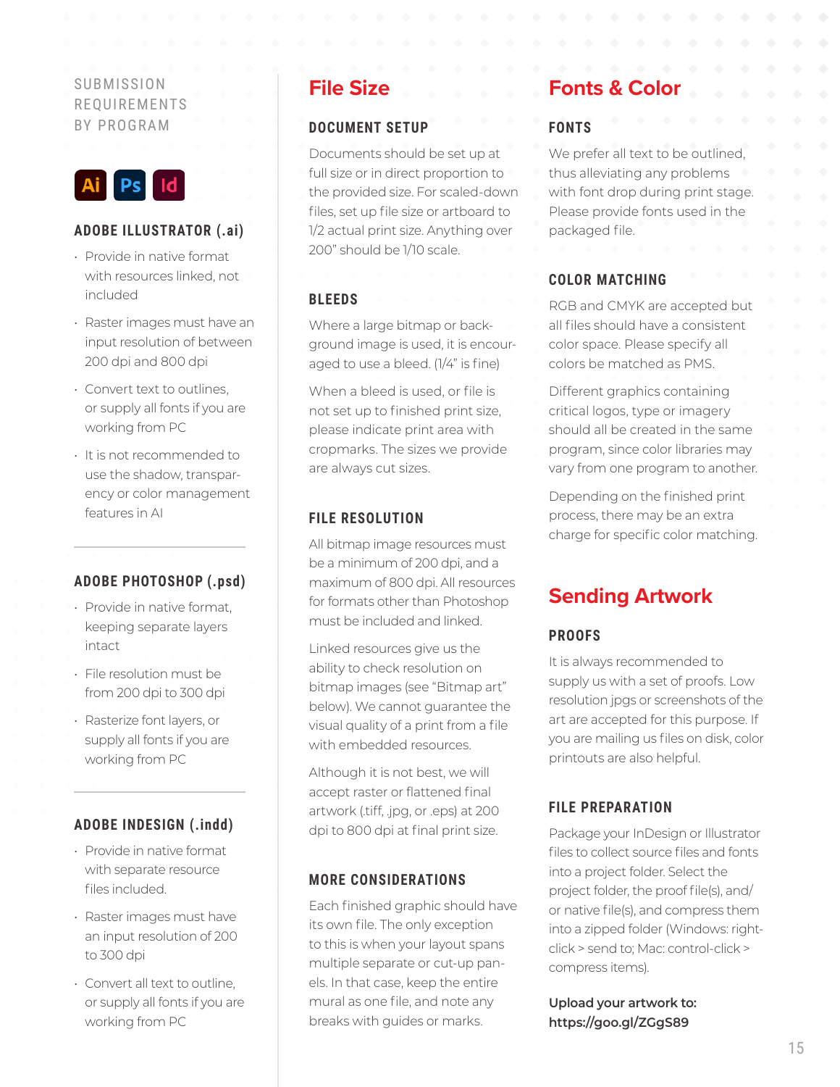### SUBMISSION REQUIREMENTS BY PROGRAM



#### **ADOBE ILLUSTRATOR (.ai)**

- Provide in native format with resources linked, not included
- Raster images must have an input resolution of between 200 dpi and 800 dpi
- Convert text to outlines, or supply all fonts if you are working from PC
- It is not recommended to use the shadow, transparency or color management features in AI

#### **ADOBE PHOTOSHOP (.psd)**

- Provide in native format, keeping separate layers intact
- File resolution must be from 200 dpi to 300 dpi
- Rasterize font layers, or supply all fonts if you are working from PC

### **ADOBE INDESIGN (.indd)**

- Provide in native format with separate resource files included.
- Raster images must have an input resolution of 200 to 300 dpi
- Convert all text to outline, or supply all fonts if you are working from PC

### **File Size**

#### **DOCUMENT SETUP**

Documents should be set up at full size or in direct proportion to the provided size. For scaled-down files, set up file size or artboard to 1/2 actual print size. Anything over 200" should be 1/10 scale.

#### **BLEEDS**

Where a large bitmap or background image is used, it is encouraged to use a bleed. (1/4" is fine)

When a bleed is used, or file is not set up to finished print size, please indicate print area with cropmarks. The sizes we provide are always cut sizes.

#### **FILE RESOLUTION**

All bitmap image resources must be a minimum of 200 dpi, and a maximum of 800 dpi. All resources for formats other than Photoshop must be included and linked.

Linked resources give us the ability to check resolution on bitmap images (see "Bitmap art" below). We cannot guarantee the visual quality of a print from a file with embedded resources.

Although it is not best, we will accept raster or flattened final artwork (.tiff, .jpg, or .eps) at 200 dpi to 800 dpi at final print size.

#### **MORE CONSIDERATIONS**

Each finished graphic should have its own file. The only exception to this is when your layout spans multiple separate or cut-up panels. In that case, keep the entire mural as one file, and note any breaks with guides or marks.

# **Fonts & Color**

#### **FONTS**

We prefer all text to be outlined, thus alleviating any problems with font drop during print stage. Please provide fonts used in the packaged file.

#### **COLOR MATCHING**

RGB and CMYK are accepted but all files should have a consistent color space. Please specify all colors be matched as PMS.

Different graphics containing critical logos, type or imagery should all be created in the same program, since color libraries may vary from one program to another.

Depending on the finished print process, there may be an extra charge for specific color matching.

# **Sending Artwork**

#### **PROOFS**

It is always recommended to supply us with a set of proofs. Low resolution jpgs or screenshots of the art are accepted for this purpose. If you are mailing us files on disk, color printouts are also helpful.

#### **FILE PREPARATION**

Package your InDesign or Illustrator files to collect source files and fonts into a project folder. Select the project folder, the proof file(s), and/ or native file(s), and compress them into a zipped folder (Windows: rightclick > send to; Mac: control-click > compress items).

**Upload your artwork to: https://goo.gl/ZGgS89**